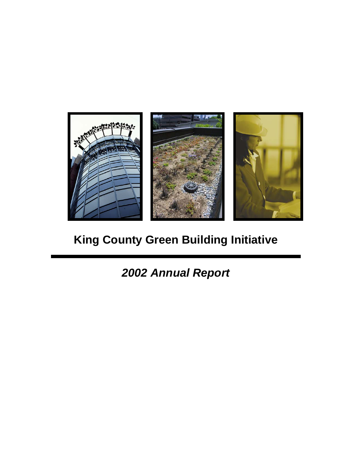

# **King County Green Building Initiative**

*2002 Annual Report*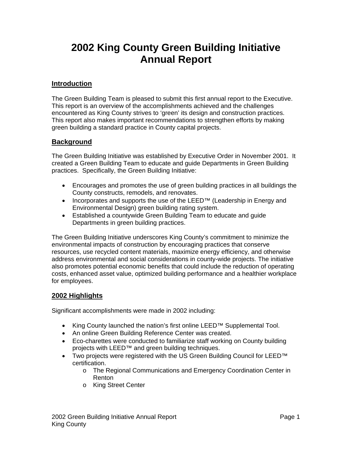## **2002 King County Green Building Initiative Annual Report**

#### **Introduction**

The Green Building Team is pleased to submit this first annual report to the Executive. This report is an overview of the accomplishments achieved and the challenges encountered as King County strives to 'green' its design and construction practices. This report also makes important recommendations to strengthen efforts by making green building a standard practice in County capital projects.

#### **Background**

The Green Building Initiative was established by Executive Order in November 2001. It created a Green Building Team to educate and guide Departments in Green Building practices. Specifically, the Green Building Initiative:

- Encourages and promotes the use of green building practices in all buildings the County constructs, remodels, and renovates.
- Incorporates and supports the use of the LEED™ (Leadership in Energy and Environmental Design) green building rating system.
- Established a countywide Green Building Team to educate and guide Departments in green building practices.

The Green Building Initiative underscores King County's commitment to minimize the environmental impacts of construction by encouraging practices that conserve resources, use recycled content materials, maximize energy efficiency, and otherwise address environmental and social considerations in county-wide projects. The initiative also promotes potential economic benefits that could include the reduction of operating costs, enhanced asset value, optimized building performance and a healthier workplace for employees.

#### **2002 Highlights**

Significant accomplishments were made in 2002 including:

- King County launched the nation's first online LEED™ Supplemental Tool.
- An online Green Building Reference Center was created.
- Eco-charettes were conducted to familiarize staff working on County building projects with LEED™ and green building techniques.
- Two projects were registered with the US Green Building Council for LEED<sup>™</sup> certification.
	- o The Regional Communications and Emergency Coordination Center in Renton
	- o King Street Center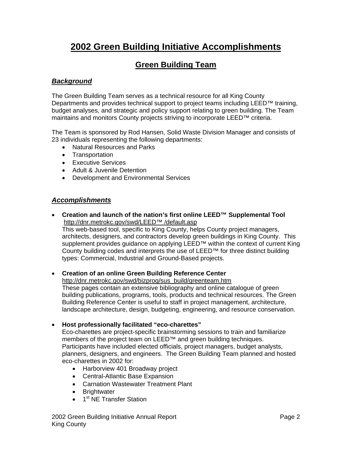## **2002 Green Building Initiative Accomplishments**

### **Green Building Team**

#### *Background*

The Green Building Team serves as a technical resource for all King County Departments and provides technical support to project teams including LEED<sup>™</sup> training, budget analyses, and strategic and policy support relating to green building. The Team maintains and monitors County projects striving to incorporate LEED™ criteria.

The Team is sponsored by Rod Hansen, Solid Waste Division Manager and consists of 23 individuals representing the following departments:

- Natural Resources and Parks
- Transportation
- Executive Services
- Adult & Juvenile Detention
- Development and Environmental Services

#### *Accomplishments*

• **Creation and launch of the nation's first online LEED™ Supplemental Tool**  [http://dnr.metrokc.gov/swd/LEED™ /default.asp](http://dnr.metrokc.gov/swd/LEED/default.asp) This web-based tool, specific to King County, helps County project managers, architects, designers, and contractors develop green buildings in King County. This supplement provides guidance on applying LEED™ within the context of current King County building codes and interprets the use of LEED™ for three distinct building types: Commercial, Industrial and Ground-Based projects.

#### • **Creation of an online Green Building Reference Center**

[http://dnr.metrokc.gov/swd/bizprog/sus](http://dnr.metrokc.gov/swd/bizprog/sus_build/greenteam.htm)**\_**build/greenteam.htm These pages contain an extensive bibliography and online catalogue of green building publications, programs, tools, products and technical resources. The Green Building Reference Center is useful to staff in project management, architecture, landscape architecture, design, budgeting, engineering, and resource conservation.

#### • **Host professionally facilitated "eco-charettes"**

Eco-charettes are project-specific brainstorming sessions to train and familiarize members of the project team on LEED<sup>™</sup> and green building techniques. Participants have included elected officials, project managers, budget analysts, planners, designers, and engineers. The Green Building Team planned and hosted eco-charettes in 2002 for:

- Harborview 401 Broadway project
- Central-Atlantic Base Expansion
- Carnation Wastewater Treatment Plant
- Brightwater
- $\bullet$  1<sup>st</sup> NE Transfer Station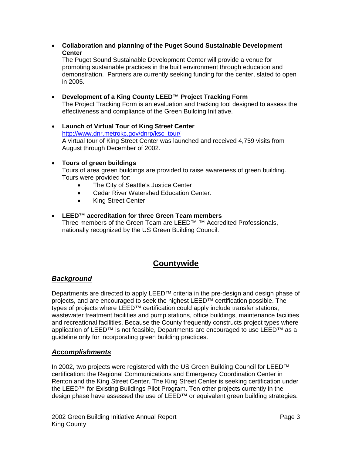• **Collaboration and planning of the Puget Sound Sustainable Development Center**

The Puget Sound Sustainable Development Center will provide a venue for promoting sustainable practices in the built environment through education and demonstration. Partners are currently seeking funding for the center, slated to open in 2005.

• **Development of a King County LEED™ Project Tracking Form** 

The Project Tracking Form is an evaluation and tracking tool designed to assess the effectiveness and compliance of the Green Building Initiative.

- **Launch of Virtual Tour of King Street Center**  [http://www.dnr.metrokc.gov/dnrp/ksc\\_tour/](http://www.dnr.metrokc.gov/dnrp/ksc_tour/) A virtual tour of King Street Center was launched and received 4,759 visits from August through December of 2002.
- **Tours of green buildings**  Tours of area green buildings are provided to raise awareness of green building. Tours were provided for:
	- The City of Seattle's Justice Center
	- Cedar River Watershed Education Center.
	- King Street Center

#### • **LEED™ accreditation for three Green Team members**

Three members of the Green Team are LEED™ ™ Accredited Professionals, nationally recognized by the US Green Building Council.

### **Countywide**

#### *Background*

Departments are directed to apply LEED<sup>™</sup> criteria in the pre-design and design phase of projects, and are encouraged to seek the highest LEED™ certification possible. The types of projects where LEED™ certification could apply include transfer stations, wastewater treatment facilities and pump stations, office buildings, maintenance facilities and recreational facilities. Because the County frequently constructs project types where application of LEED<sup>™</sup> is not feasible, Departments are encouraged to use LEED<sup>™</sup> as a guideline only for incorporating green building practices.

#### *Accomplishments*

In 2002, two projects were registered with the US Green Building Council for LEED™ certification: the Regional Communications and Emergency Coordination Center in Renton and the King Street Center. The King Street Center is seeking certification under the LEED™ for Existing Buildings Pilot Program. Ten other projects currently in the design phase have assessed the use of LEED™ or equivalent green building strategies.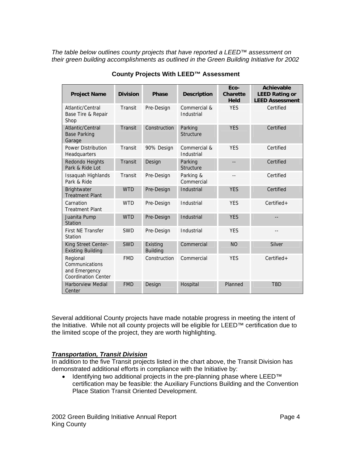*The table below outlines county projects that have reported a LEED™ assessment on their green building accomplishments as outlined in the Green Building Initiative for 2002* 

| <b>Project Name</b>                                                       | <b>Division</b> | <b>Phase</b>                | <b>Description</b>          | Eco-<br><b>Charette</b><br><b>Held</b> | <b>Achievable</b><br><b>LEED Rating or</b><br><b>LEED Assessment</b> |
|---------------------------------------------------------------------------|-----------------|-----------------------------|-----------------------------|----------------------------------------|----------------------------------------------------------------------|
| Atlantic/Central<br>Base Tire & Repair<br>Shop                            | Transit         | Pre-Design                  | Commercial &<br>Industrial  | <b>YES</b>                             | Certified                                                            |
| Atlantic/Central<br><b>Base Parking</b><br>Garage                         | Transit         | Construction                | Parking<br><b>Structure</b> | <b>YES</b>                             | Certified                                                            |
| <b>Power Distribution</b><br>Headquarters                                 | Transit         | 90% Design                  | Commercial &<br>Industrial  | <b>YES</b>                             | Certified                                                            |
| Redondo Heights<br>Park & Ride Lot                                        | Transit         | Design                      | Parking<br><b>Structure</b> | $-$                                    | Certified                                                            |
| Issaquah Highlands<br>Park & Ride                                         | Transit         | Pre-Design                  | Parking &<br>Commercial     | $-$                                    | Certified                                                            |
| Brightwater<br><b>Treatment Plant</b>                                     | <b>WTD</b>      | Pre-Design                  | Industrial                  | <b>YES</b>                             | Certified                                                            |
| Carnation<br><b>Treatment Plant</b>                                       | <b>WTD</b>      | Pre-Design                  | Industrial                  | <b>YES</b>                             | Certified+                                                           |
| Juanita Pump<br>Station                                                   | <b>WTD</b>      | Pre-Design                  | Industrial                  | <b>YES</b>                             | --                                                                   |
| <b>First NE Transfer</b><br>Station                                       | <b>SWD</b>      | Pre-Design                  | Industrial                  | <b>YES</b>                             | $-$                                                                  |
| King Street Center-<br><b>Existing Building</b>                           | <b>SWD</b>      | Existing<br><b>Building</b> | Commercial                  | <b>NO</b>                              | Silver                                                               |
| Regional<br>Communications<br>and Emergency<br><b>Coordination Center</b> | <b>FMD</b>      | Construction                | Commercial                  | <b>YES</b>                             | $Certified +$                                                        |
| <b>Harborview Medial</b><br>Center                                        | <b>FMD</b>      | Design                      | Hospital                    | Planned                                | <b>TBD</b>                                                           |

#### **County Projects With LEED™ Assessment**

Several additional County projects have made notable progress in meeting the intent of the Initiative. While not all county projects will be eligible for LEED™ certification due to the limited scope of the project, they are worth highlighting.

#### *Transportation, Transit Division*

In addition to the five Transit projects listed in the chart above, the Transit Division has demonstrated additional efforts in compliance with the Initiative by:

• Identifying two additional projects in the pre-planning phase where LEED<sup>™</sup> certification may be feasible: the Auxiliary Functions Building and the Convention Place Station Transit Oriented Development.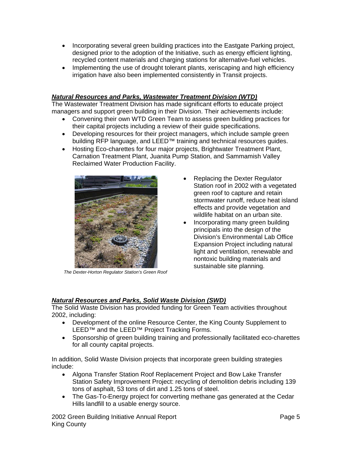- Incorporating several green building practices into the Eastgate Parking project, designed prior to the adoption of the Initiative, such as energy efficient lighting, recycled content materials and charging stations for alternative-fuel vehicles.
- Implementing the use of drought tolerant plants, xeriscaping and high efficiency irrigation have also been implemented consistently in Transit projects.

#### *Natural Resources and Parks, Wastewater Treatment Division (WTD)*

The Wastewater Treatment Division has made significant efforts to educate project managers and support green building in their Division. Their achievements include:

- Convening their own WTD Green Team to assess green building practices for their capital projects including a review of their guide specifications.
- Developing resources for their project managers, which include sample green building RFP language, and LEED<sup>™</sup> training and technical resources guides.
- Hosting Eco-charettes for four major projects, Brightwater Treatment Plant, Carnation Treatment Plant, Juanita Pump Station, and Sammamish Valley Reclaimed Water Production Facility.



*The Dexter-Horton Regulator Station's Green Roof* 

- Replacing the Dexter Regulator Station roof in 2002 with a vegetated green roof to capture and retain stormwater runoff, reduce heat island effects and provide vegetation and wildlife habitat on an urban site.
- Incorporating many green building principals into the design of the Division's Environmental Lab Office Expansion Project including natural light and ventilation, renewable and nontoxic building materials and sustainable site planning.

#### *Natural Resources and Parks, Solid Waste Division (SWD)*

The Solid Waste Division has provided funding for Green Team activities throughout 2002, including:

- Development of the online Resource Center, the King County Supplement to LEED™ and the LEED™ Project Tracking Forms.
- Sponsorship of green building training and professionally facilitated eco-charettes for all county capital projects.

In addition, Solid Waste Division projects that incorporate green building strategies include:

- Algona Transfer Station Roof Replacement Project and Bow Lake Transfer Station Safety Improvement Project: recycling of demolition debris including 139 tons of asphalt, 53 tons of dirt and 1.25 tons of steel.
- The Gas-To-Energy project for converting methane gas generated at the Cedar Hills landfill to a usable energy source.

2002 Green Building Initiative Annual Report **Page 5** Page 5 King County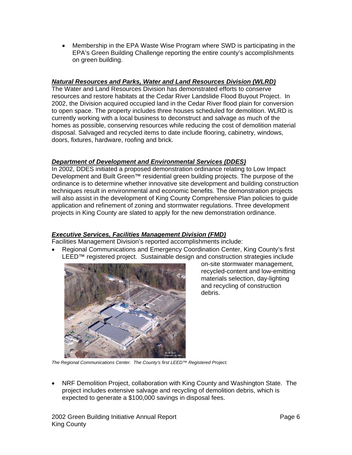• Membership in the EPA Waste Wise Program where SWD is participating in the EPA's Green Building Challenge reporting the entire county's accomplishments on green building.

#### *Natural Resources and Parks, Water and Land Resources Division (WLRD)*

The Water and Land Resources Division has demonstrated efforts to conserve resources and restore habitats at the Cedar River Landslide Flood Buyout Project. In 2002, the Division acquired occupied land in the Cedar River flood plain for conversion to open space. The property includes three houses scheduled for demolition. WLRD is currently working with a local business to deconstruct and salvage as much of the homes as possible, conserving resources while reducing the cost of demolition material disposal. Salvaged and recycled items to date include flooring, cabinetry, windows, doors, fixtures, hardware, roofing and brick.

#### *Department of Development and Environmental Services (DDES)*

In 2002, DDES initiated a proposed demonstration ordinance relating to Low Impact Development and Built Green™ residential green building projects. The purpose of the ordinance is to determine whether innovative site development and building construction techniques result in environmental and economic benefits. The demonstration projects will also assist in the development of King County Comprehensive Plan policies to guide application and refinement of zoning and stormwater regulations. Three development projects in King County are slated to apply for the new demonstration ordinance.

#### *Executive Services, Facilities Management Division (FMD)*

Facilities Management Division's reported accomplishments include:

• Regional Communications and Emergency Coordination Center, King County's first LEED™ registered project. Sustainable design and construction strategies include



on-site stormwater management, recycled-content and low-emitting materials selection, day-lighting and recycling of construction debris.

*The Regional Communications Center. The County's first LEED™ Registered Project.* 

• NRF Demolition Project, collaboration with King County and Washington State. The project includes extensive salvage and recycling of demolition debris, which is expected to generate a \$100,000 savings in disposal fees.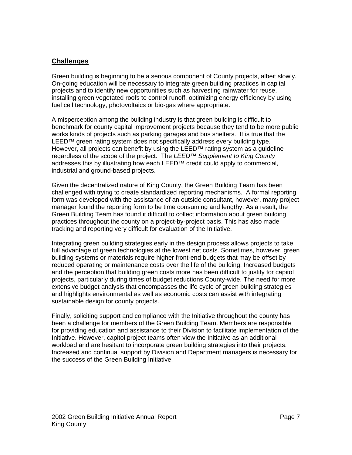#### **Challenges**

Green building is beginning to be a serious component of County projects, albeit slowly. On-going education will be necessary to integrate green building practices in capital projects and to identify new opportunities such as harvesting rainwater for reuse, installing green vegetated roofs to control runoff, optimizing energy efficiency by using fuel cell technology, photovoltaics or bio-gas where appropriate.

A misperception among the building industry is that green building is difficult to benchmark for county capital improvement projects because they tend to be more public works kinds of projects such as parking garages and bus shelters. It is true that the LEED™ green rating system does not specifically address every building type. However, all projects can benefit by using the LEED™ rating system as a guideline regardless of the scope of the project. The *LEED™ Supplement to King County* addresses this by illustrating how each LEED™ credit could apply to commercial, industrial and ground-based projects.

Given the decentralized nature of King County, the Green Building Team has been challenged with trying to create standardized reporting mechanisms. A formal reporting form was developed with the assistance of an outside consultant, however, many project manager found the reporting form to be time consuming and lengthy. As a result, the Green Building Team has found it difficult to collect information about green building practices throughout the county on a project-by-project basis. This has also made tracking and reporting very difficult for evaluation of the Initiative.

Integrating green building strategies early in the design process allows projects to take full advantage of green technologies at the lowest net costs. Sometimes, however, green building systems or materials require higher front-end budgets that may be offset by reduced operating or maintenance costs over the life of the building. Increased budgets and the perception that building green costs more has been difficult to justify for capitol projects, particularly during times of budget reductions County-wide. The need for more extensive budget analysis that encompasses the life cycle of green building strategies and highlights environmental as well as economic costs can assist with integrating sustainable design for county projects.

Finally, soliciting support and compliance with the Initiative throughout the county has been a challenge for members of the Green Building Team. Members are responsible for providing education and assistance to their Division to facilitate implementation of the Initiative. However, capitol project teams often view the Initiative as an additional workload and are hesitant to incorporate green building strategies into their projects. Increased and continual support by Division and Department managers is necessary for the success of the Green Building Initiative.